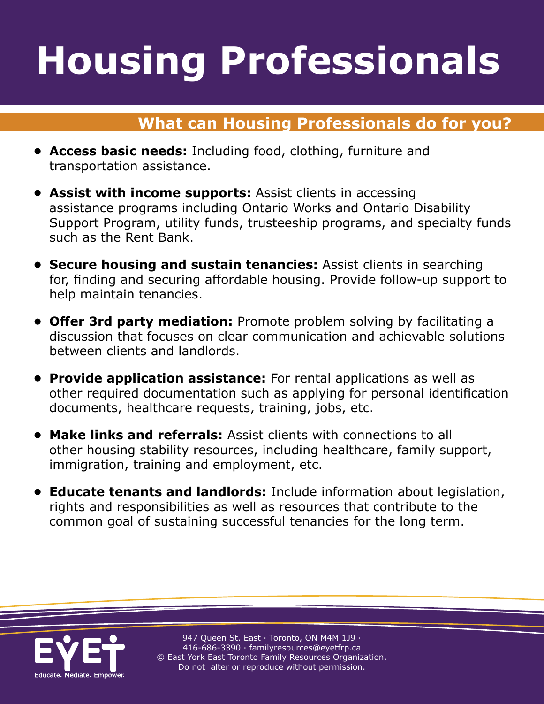# **Housing Professionals Housing Professionals**

### **What can Housing Professionals do for you?**

- **• Access basic needs:** Including food, clothing, furniture and transportation assistance.
- **• Assist with income supports:** Assist clients in accessing assistance programs including Ontario Works and Ontario Disability Support Program, utility funds, trusteeship programs, and specialty funds such as the Rent Bank.
- **• Secure housing and sustain tenancies:** Assist clients in searching for, finding and securing affordable housing. Provide follow-up support to help maintain tenancies.
- **• Offer 3rd party mediation:** Promote problem solving by facilitating a discussion that focuses on clear communication and achievable solutions between clients and landlords.
- **• Provide application assistance:** For rental applications as well as other required documentation such as applying for personal identification documents, healthcare requests, training, jobs, etc.
- **• Make links and referrals:** Assist clients with connections to all other housing stability resources, including healthcare, family support, immigration, training and employment, etc.
- **• Educate tenants and landlords:** Include information about legislation, rights and responsibilities as well as resources that contribute to the common goal of sustaining successful tenancies for the long term.



947 Queen St. East · Toronto, ON M4M 1J9 · 416-686-3390 · [familyresources@eyetfrp.ca](mailto:familyresources@eyetfrp.ca) © East York East Toronto Family Resources Organization. Do not alter or reproduce without permission.